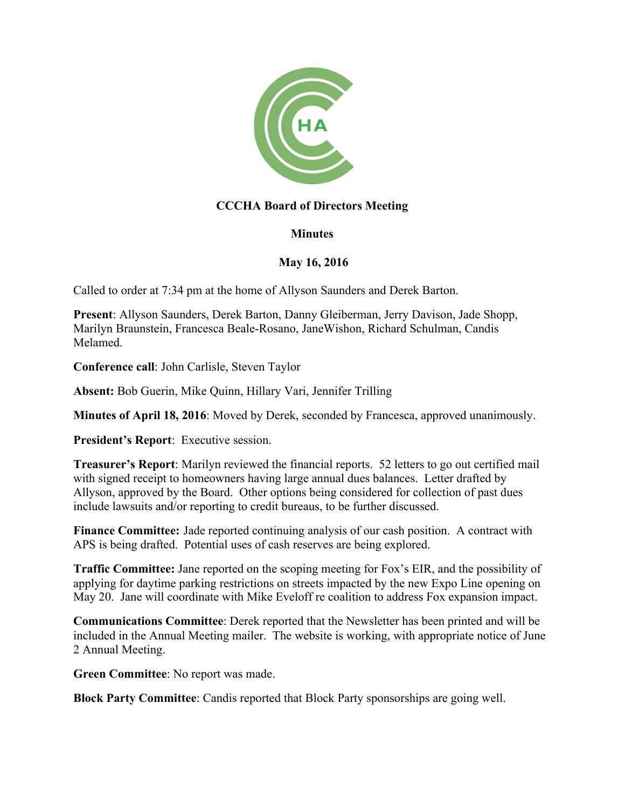

## **CCCHA Board of Directors Meeting**

## **Minutes**

## **May 16, 2016**

Called to order at 7:34 pm at the home of Allyson Saunders and Derek Barton.

**Present**: Allyson Saunders, Derek Barton, Danny Gleiberman, Jerry Davison, Jade Shopp, Marilyn Braunstein, Francesca Beale-Rosano, JaneWishon, Richard Schulman, Candis Melamed.

**Conference call**: John Carlisle, Steven Taylor

**Absent:** Bob Guerin, Mike Quinn, Hillary Vari, Jennifer Trilling

**Minutes of April 18, 2016**: Moved by Derek, seconded by Francesca, approved unanimously.

**President's Report**: Executive session.

**Treasurer's Report**: Marilyn reviewed the financial reports. 52 letters to go out certified mail with signed receipt to homeowners having large annual dues balances. Letter drafted by Allyson, approved by the Board. Other options being considered for collection of past dues include lawsuits and/or reporting to credit bureaus, to be further discussed.

**Finance Committee:** Jade reported continuing analysis of our cash position. A contract with APS is being drafted. Potential uses of cash reserves are being explored.

**Traffic Committee:** Jane reported on the scoping meeting for Fox's EIR, and the possibility of applying for daytime parking restrictions on streets impacted by the new Expo Line opening on May 20. Jane will coordinate with Mike Eveloff re coalition to address Fox expansion impact.

**Communications Committee**: Derek reported that the Newsletter has been printed and will be included in the Annual Meeting mailer. The website is working, with appropriate notice of June 2 Annual Meeting.

**Green Committee**: No report was made.

**Block Party Committee**: Candis reported that Block Party sponsorships are going well.